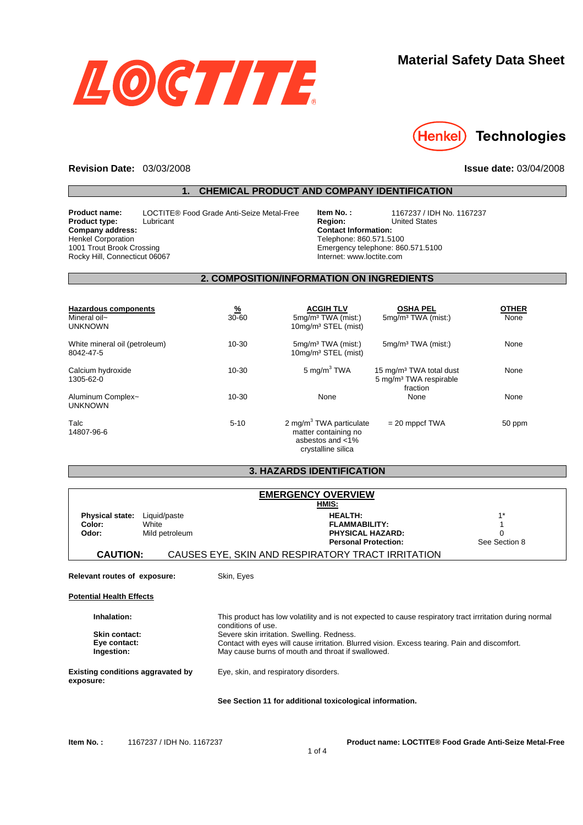

# **Material Safety Data Sheet**



#### **Revision Date:** 03/03/2008 **Issue date:** 03/04/2008

### **1. CHEMICAL PRODUCT AND COMPANY IDENTIFICATION**

**Product name:** LOCTITE® Food Grade Anti-Seize Metal-Free **item No. :** 1167237 / IDH No. 1167237<br>**Product type:** Lubricant Lubricant **Region:** United States **Product type:** Lubricant Lubricant **Region: Region:** United States **Company address:** Henkel Corporation 1001 Trout Brook Crossing Rocky Hill, Connecticut 06067

**Contact Information:**  Telephone: 860.571.5100 Emergency telephone: 860.571.5100 Internet: www.loctite.com

### **2. COMPOSITION/INFORMATION ON INGREDIENTS**

| <b>Hazardous components</b><br>Mineral oil~<br><b>UNKNOWN</b> | <u>%</u><br>$30 - 60$ | <b>ACGIH TLV</b><br>5mg/m <sup>3</sup> TWA (mist:)<br>10mg/m <sup>3</sup> STEL (mist)                    | <b>OSHA PEL</b><br>5mg/m <sup>3</sup> TWA (mist:)                                     | <b>OTHER</b><br>None |
|---------------------------------------------------------------|-----------------------|----------------------------------------------------------------------------------------------------------|---------------------------------------------------------------------------------------|----------------------|
| White mineral oil (petroleum)<br>8042-47-5                    | $10 - 30$             | $5mq/m3 TWA$ (mist:)<br>10mg/m <sup>3</sup> STEL (mist)                                                  | $5mg/m3 TWA$ (mist:)                                                                  | None                 |
| Calcium hydroxide<br>1305-62-0                                | $10 - 30$             | 5 mg/m $3$ TWA                                                                                           | 15 mg/m <sup>3</sup> TWA total dust<br>5 mg/m <sup>3</sup> TWA respirable<br>fraction | None                 |
| Aluminum Complex~<br><b>UNKNOWN</b>                           | $10 - 30$             | None                                                                                                     | None                                                                                  | None                 |
| Talc<br>14807-96-6                                            | $5 - 10$              | 2 mg/m <sup>3</sup> TWA particulate<br>matter containing no<br>asbestos and $<$ 1%<br>crystalline silica | $= 20$ mppcf TWA                                                                      | 50 ppm               |

#### **3. HAZARDS IDENTIFICATION**

| <b>EMERGENCY OVERVIEW</b><br>HMIS:                              |                                         |                                                                                                                                                                                                  |                        |
|-----------------------------------------------------------------|-----------------------------------------|--------------------------------------------------------------------------------------------------------------------------------------------------------------------------------------------------|------------------------|
| <b>Physical state:</b><br>Color:<br>Odor:                       | Liquid/paste<br>White<br>Mild petroleum | <b>HEALTH:</b><br><b>FLAMMABILITY:</b><br><b>PHYSICAL HAZARD:</b><br><b>Personal Protection:</b>                                                                                                 | $1^*$<br>See Section 8 |
| <b>CAUTION:</b>                                                 |                                         | CAUSES EYE, SKIN AND RESPIRATORY TRACT IRRITATION                                                                                                                                                |                        |
| Relevant routes of exposure:<br><b>Potential Health Effects</b> |                                         | Skin, Eyes                                                                                                                                                                                       |                        |
| Inhalation:                                                     |                                         | This product has low volatility and is not expected to cause respiratory tract irrritation during normal<br>conditions of use.                                                                   |                        |
| <b>Skin contact:</b><br>Eye contact:<br>Ingestion:              |                                         | Severe skin irritation. Swelling. Redness.<br>Contact with eyes will cause irritation. Blurred vision. Excess tearing. Pain and discomfort.<br>May cause burns of mouth and throat if swallowed. |                        |
| <b>Existing conditions aggravated by</b><br>exposure:           |                                         | Eye, skin, and respiratory disorders.                                                                                                                                                            |                        |
|                                                                 |                                         | See Section 11 for additional toxicological information.                                                                                                                                         |                        |

**Item No. :** 1167237 / IDH No. 1167237 **Product name: LOCTITE® Food Grade Anti-Seize Metal-Free**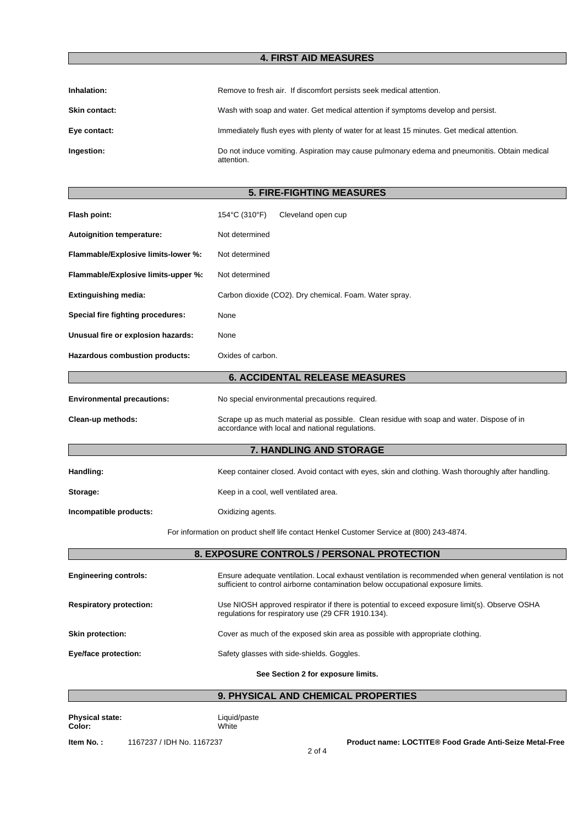## **4. FIRST AID MEASURES**

| Inhalation:          | Remove to fresh air. If discomfort persists seek medical attention.                                        |
|----------------------|------------------------------------------------------------------------------------------------------------|
| <b>Skin contact:</b> | Wash with soap and water. Get medical attention if symptoms develop and persist.                           |
| Eye contact:         | Immediately flush eyes with plenty of water for at least 15 minutes. Get medical attention.                |
| Ingestion:           | Do not induce vomiting. Aspiration may cause pulmonary edema and pneumonitis. Obtain medical<br>attention. |

# **5. FIRE-FIGHTING MEASURES**

| Flash point:                          | 154°C (310°F)<br>Cleveland open cup                                                                                                                                                       |  |
|---------------------------------------|-------------------------------------------------------------------------------------------------------------------------------------------------------------------------------------------|--|
| <b>Autoignition temperature:</b>      | Not determined                                                                                                                                                                            |  |
| Flammable/Explosive limits-lower %:   | Not determined                                                                                                                                                                            |  |
| Flammable/Explosive limits-upper %:   | Not determined                                                                                                                                                                            |  |
| <b>Extinguishing media:</b>           | Carbon dioxide (CO2). Dry chemical. Foam. Water spray.                                                                                                                                    |  |
| Special fire fighting procedures:     | None                                                                                                                                                                                      |  |
| Unusual fire or explosion hazards:    | None                                                                                                                                                                                      |  |
| <b>Hazardous combustion products:</b> | Oxides of carbon.                                                                                                                                                                         |  |
|                                       | <b>6. ACCIDENTAL RELEASE MEASURES</b>                                                                                                                                                     |  |
| <b>Environmental precautions:</b>     | No special environmental precautions required.                                                                                                                                            |  |
| Clean-up methods:                     | Scrape up as much material as possible. Clean residue with soap and water. Dispose of in<br>accordance with local and national regulations.                                               |  |
|                                       | 7. HANDLING AND STORAGE                                                                                                                                                                   |  |
| Handling:                             | Keep container closed. Avoid contact with eyes, skin and clothing. Wash thoroughly after handling.                                                                                        |  |
| Storage:                              | Keep in a cool, well ventilated area.                                                                                                                                                     |  |
| Incompatible products:                | Oxidizing agents.                                                                                                                                                                         |  |
|                                       | For information on product shelf life contact Henkel Customer Service at (800) 243-4874.                                                                                                  |  |
|                                       | 8. EXPOSURE CONTROLS / PERSONAL PROTECTION                                                                                                                                                |  |
| <b>Engineering controls:</b>          | Ensure adequate ventilation. Local exhaust ventilation is recommended when general ventilation is not<br>sufficient to control airborne contamination below occupational exposure limits. |  |
| <b>Respiratory protection:</b>        | Use NIOSH approved respirator if there is potential to exceed exposure limit(s). Observe OSHA<br>regulations for respiratory use (29 CFR 1910.134).                                       |  |
| <b>Skin protection:</b>               | Cover as much of the exposed skin area as possible with appropriate clothing.                                                                                                             |  |
| Eye/face protection:                  | Safety glasses with side-shields. Goggles.                                                                                                                                                |  |
|                                       | See Section 2 for exposure limits.                                                                                                                                                        |  |
|                                       | 9. PHYSICAL AND CHEMICAL PROPERTIES                                                                                                                                                       |  |

### **9. PHYSICAL AND CHEMICAL PROPERTIES**

**Physical state: Liquid/paste Color:** White

**Item No. :** 1167237 / IDH No. 1167237 **Product name: LOCTITE® Food Grade Anti-Seize Metal-Free**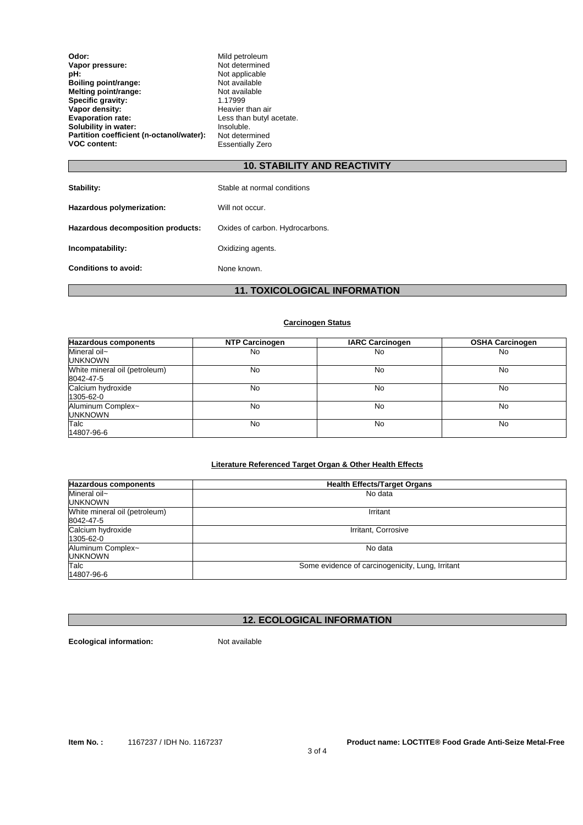| Odor:                                    | Mild petroleum           |
|------------------------------------------|--------------------------|
| Vapor pressure:                          | Not determined           |
| pH:                                      | Not applicable           |
| Boiling point/range:                     | Not available            |
| Melting point/range:                     | Not available            |
| Specific gravity:                        | 1.17999                  |
| Vapor density:                           | Heavier than air         |
| <b>Evaporation rate:</b>                 | Less than butyl acetate. |
| Solubility in water:                     | Insoluble.               |
| Partition coefficient (n-octanol/water): | Not determined           |
| <b>VOC content:</b>                      | <b>Essentially Zero</b>  |

## **10. STABILITY AND REACTIVITY**

| Stability:                        | Stable at normal conditions     |
|-----------------------------------|---------------------------------|
| Hazardous polymerization:         | Will not occur.                 |
| Hazardous decomposition products: | Oxides of carbon. Hydrocarbons. |
| Incompatability:                  | Oxidizing agents.               |
| <b>Conditions to avoid:</b>       | None known.                     |

# **11. TOXICOLOGICAL INFORMATION**

## **Carcinogen Status**

| <b>Hazardous components</b>                | <b>NTP Carcinogen</b> | <b>IARC Carcinogen</b> | <b>OSHA Carcinogen</b> |
|--------------------------------------------|-----------------------|------------------------|------------------------|
| Mineral oil~<br><b>UNKNOWN</b>             | No.                   | No                     | No                     |
| White mineral oil (petroleum)<br>8042-47-5 | No                    | No                     | No                     |
| Calcium hydroxide<br>1305-62-0             | No                    | No                     | No                     |
| Aluminum Complex~<br><b>UNKNOWN</b>        | No                    | No                     | No                     |
| Talc<br>14807-96-6                         | No                    | No                     | No                     |

#### **Literature Referenced Target Organ & Other Health Effects**

| <b>Hazardous components</b>                | <b>Health Effects/Target Organs</b>              |  |
|--------------------------------------------|--------------------------------------------------|--|
| Mineral oil~<br><b>UNKNOWN</b>             | No data                                          |  |
| White mineral oil (petroleum)<br>8042-47-5 | Irritant                                         |  |
| Calcium hydroxide<br>1305-62-0             | Irritant, Corrosive                              |  |
| Aluminum Complex~<br><b>UNKNOWN</b>        | No data                                          |  |
| Talc<br>14807-96-6                         | Some evidence of carcinogenicity, Lung, Irritant |  |

# **12. ECOLOGICAL INFORMATION**

**Ecological information:** Not available